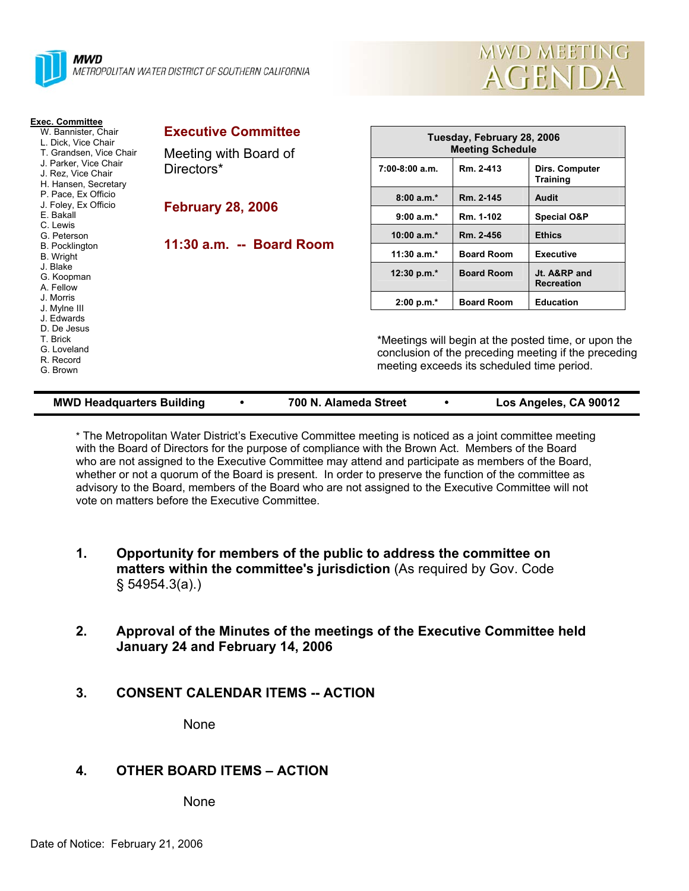



| <b>Exec. Committee</b><br>W. Bannister, Chair<br>L. Dick, Vice Chair<br>T. Grandsen, Vice Chair<br>J. Parker, Vice Chair<br>J. Rez. Vice Chair<br>H. Hansen, Secretary | <b>Executive Committee</b><br>Meeting with Board of<br>Directors* | Tuesday, February 28, 2006<br><b>Meeting Schedule</b>                                                                                                      |                   |                                   |  |
|------------------------------------------------------------------------------------------------------------------------------------------------------------------------|-------------------------------------------------------------------|------------------------------------------------------------------------------------------------------------------------------------------------------------|-------------------|-----------------------------------|--|
|                                                                                                                                                                        |                                                                   | $7:00-8:00$ a.m.                                                                                                                                           | Rm. 2-413         | Dirs. Computer<br><b>Training</b> |  |
| P. Pace, Ex Officio<br>J. Foley, Ex Officio                                                                                                                            |                                                                   | $8:00 a.m.*$                                                                                                                                               | Rm. 2-145         | Audit                             |  |
| E. Bakall<br>C. Lewis                                                                                                                                                  | <b>February 28, 2006</b>                                          | $9:00 a.m.*$                                                                                                                                               | Rm. 1-102         | <b>Special O&amp;P</b>            |  |
| G. Peterson                                                                                                                                                            |                                                                   | 10:00 $a.m.*$                                                                                                                                              | Rm. 2-456         | <b>Ethics</b>                     |  |
| <b>B.</b> Pocklington<br>B. Wright                                                                                                                                     | 11:30 a.m. -- Board Room                                          | $11:30 a.m.*$                                                                                                                                              | <b>Board Room</b> | <b>Executive</b>                  |  |
| J. Blake<br>G. Koopman<br>A. Fellow                                                                                                                                    |                                                                   | 12:30 p.m. $*$                                                                                                                                             | <b>Board Room</b> | Jt. A&RP and<br><b>Recreation</b> |  |
| J. Morris                                                                                                                                                              |                                                                   | $2:00 p.m.*$                                                                                                                                               | <b>Board Room</b> | <b>Education</b>                  |  |
| J. Mylne III<br>J. Edwards<br>D. De Jesus<br>T. Brick<br>G. Loveland<br>R. Record<br>G. Brown                                                                          |                                                                   | *Meetings will begin at the posted time, or upon the<br>conclusion of the preceding meeting if the preceding<br>meeting exceeds its scheduled time period. |                   |                                   |  |

| <b>MWD Headquarters Building</b> |  | 700 N. Alameda Street |  | Los Angeles, CA 90012 |
|----------------------------------|--|-----------------------|--|-----------------------|
|----------------------------------|--|-----------------------|--|-----------------------|

\* The Metropolitan Water District's Executive Committee meeting is noticed as a joint committee meeting with the Board of Directors for the purpose of compliance with the Brown Act. Members of the Board who are not assigned to the Executive Committee may attend and participate as members of the Board, whether or not a quorum of the Board is present. In order to preserve the function of the committee as advisory to the Board, members of the Board who are not assigned to the Executive Committee will not vote on matters before the Executive Committee.

- **1. Opportunity for members of the public to address the committee on matters within the committee's jurisdiction** (As required by Gov. Code § 54954.3(a).)
- **2. Approval of the Minutes of the meetings of the Executive Committee held January 24 and February 14, 2006**
- **3. CONSENT CALENDAR ITEMS -- ACTION**

None

## **4. OTHER BOARD ITEMS – ACTION**

None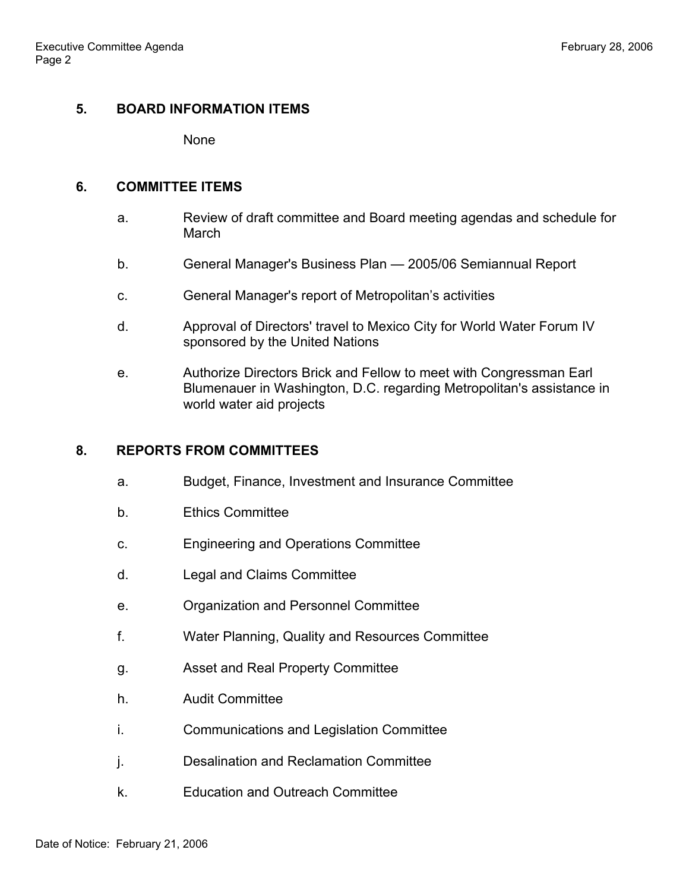# **5. BOARD INFORMATION ITEMS**

None

## **6. COMMITTEE ITEMS**

- a. Review of draft committee and Board meeting agendas and schedule for March
- b. General Manager's Business Plan 2005/06 Semiannual Report
- c. General Manager's report of Metropolitan's activities
- d. Approval of Directors' travel to Mexico City for World Water Forum IV sponsored by the United Nations
- e. Authorize Directors Brick and Fellow to meet with Congressman Earl Blumenauer in Washington, D.C. regarding Metropolitan's assistance in world water aid projects

# **8. REPORTS FROM COMMITTEES**

- a. Budget, Finance, Investment and Insurance Committee
- b. Ethics Committee
- c. Engineering and Operations Committee
- d. Legal and Claims Committee
- e. Organization and Personnel Committee
- f. Water Planning, Quality and Resources Committee
- g. Asset and Real Property Committee
- h. Audit Committee
- i. Communications and Legislation Committee
- j. Desalination and Reclamation Committee
- k. Education and Outreach Committee